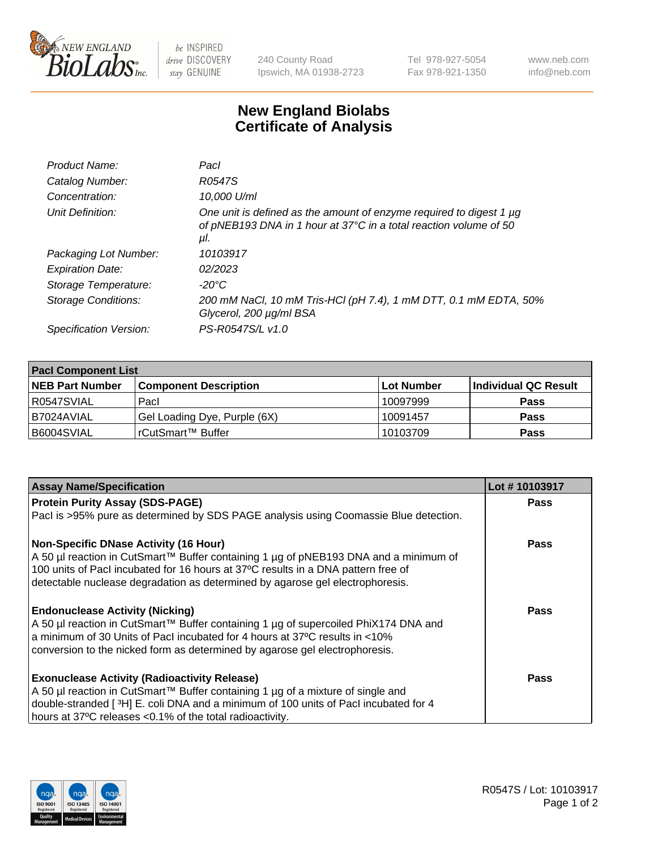

 $be$  INSPIRED drive DISCOVERY stay GENUINE

240 County Road Ipswich, MA 01938-2723 Tel 978-927-5054 Fax 978-921-1350 www.neb.com info@neb.com

## **New England Biolabs Certificate of Analysis**

| Product Name:           | Pacl                                                                                                                                            |
|-------------------------|-------------------------------------------------------------------------------------------------------------------------------------------------|
| Catalog Number:         | R0547S                                                                                                                                          |
| Concentration:          | 10,000 U/ml                                                                                                                                     |
| Unit Definition:        | One unit is defined as the amount of enzyme required to digest 1 µg<br>of pNEB193 DNA in 1 hour at 37°C in a total reaction volume of 50<br>μI. |
| Packaging Lot Number:   | 10103917                                                                                                                                        |
| <b>Expiration Date:</b> | 02/2023                                                                                                                                         |
| Storage Temperature:    | $-20^{\circ}$ C                                                                                                                                 |
| Storage Conditions:     | 200 mM NaCl, 10 mM Tris-HCl (pH 7.4), 1 mM DTT, 0.1 mM EDTA, 50%<br>Glycerol, 200 µg/ml BSA                                                     |
| Specification Version:  | PS-R0547S/L v1.0                                                                                                                                |

| <b>Pacl Component List</b> |                              |             |                      |  |  |
|----------------------------|------------------------------|-------------|----------------------|--|--|
| <b>NEB Part Number</b>     | <b>Component Description</b> | ∣Lot Number | Individual QC Result |  |  |
| R0547SVIAL                 | Pacl                         | 10097999    | <b>Pass</b>          |  |  |
| I B7024AVIAL               | Gel Loading Dye, Purple (6X) | 10091457    | <b>Pass</b>          |  |  |
| B6004SVIAL                 | rCutSmart™ Buffer            | 10103709    | <b>Pass</b>          |  |  |

| <b>Assay Name/Specification</b>                                                      | Lot #10103917 |
|--------------------------------------------------------------------------------------|---------------|
| <b>Protein Purity Assay (SDS-PAGE)</b>                                               | <b>Pass</b>   |
| PacI is >95% pure as determined by SDS PAGE analysis using Coomassie Blue detection. |               |
| <b>Non-Specific DNase Activity (16 Hour)</b>                                         | Pass          |
| A 50 µl reaction in CutSmart™ Buffer containing 1 µg of pNEB193 DNA and a minimum of |               |
| 100 units of Pacl incubated for 16 hours at 37°C results in a DNA pattern free of    |               |
| detectable nuclease degradation as determined by agarose gel electrophoresis.        |               |
| <b>Endonuclease Activity (Nicking)</b>                                               | Pass          |
| A 50 µl reaction in CutSmart™ Buffer containing 1 µg of supercoiled PhiX174 DNA and  |               |
| a minimum of 30 Units of Pacl incubated for 4 hours at 37°C results in <10%          |               |
| conversion to the nicked form as determined by agarose gel electrophoresis.          |               |
| <b>Exonuclease Activity (Radioactivity Release)</b>                                  | Pass          |
| A 50 µl reaction in CutSmart™ Buffer containing 1 µg of a mixture of single and      |               |
| double-stranded [3H] E. coli DNA and a minimum of 100 units of Pacl incubated for 4  |               |
| hours at 37°C releases <0.1% of the total radioactivity.                             |               |